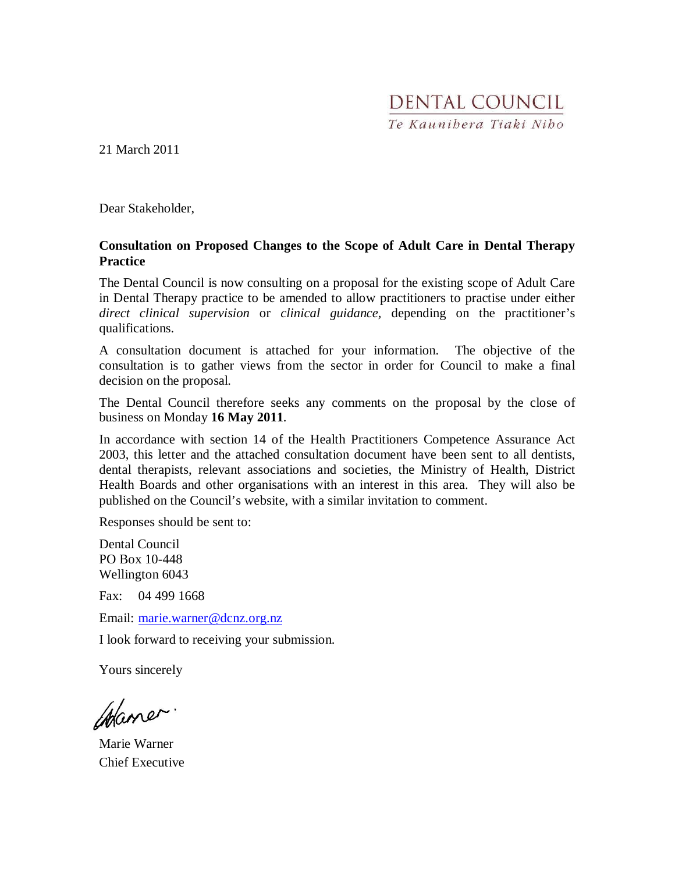# DENTAL COUNCIL Te Kaunibera Tiaki Nibo

21 March 2011

Dear Stakeholder,

### **Consultation on Proposed Changes to the Scope of Adult Care in Dental Therapy Practice**

The Dental Council is now consulting on a proposal for the existing scope of Adult Care in Dental Therapy practice to be amended to allow practitioners to practise under either *direct clinical supervision* or *clinical guidance,* depending on the practitioner's qualifications.

A consultation document is attached for your information. The objective of the consultation is to gather views from the sector in order for Council to make a final decision on the proposal.

The Dental Council therefore seeks any comments on the proposal by the close of business on Monday **16 May 2011**.

In accordance with section 14 of the Health Practitioners Competence Assurance Act 2003, this letter and the attached consultation document have been sent to all dentists, dental therapists, relevant associations and societies, the Ministry of Health, District Health Boards and other organisations with an interest in this area. They will also be published on the Council's website, with a similar invitation to comment.

Responses should be sent to:

Dental Council PO Box 10-448 Wellington 6043

Fax: 04 499 1668

Email: marie.warner@dcnz.org.nz

I look forward to receiving your submission.

Yours sincerely

Maner.

Marie Warner Chief Executive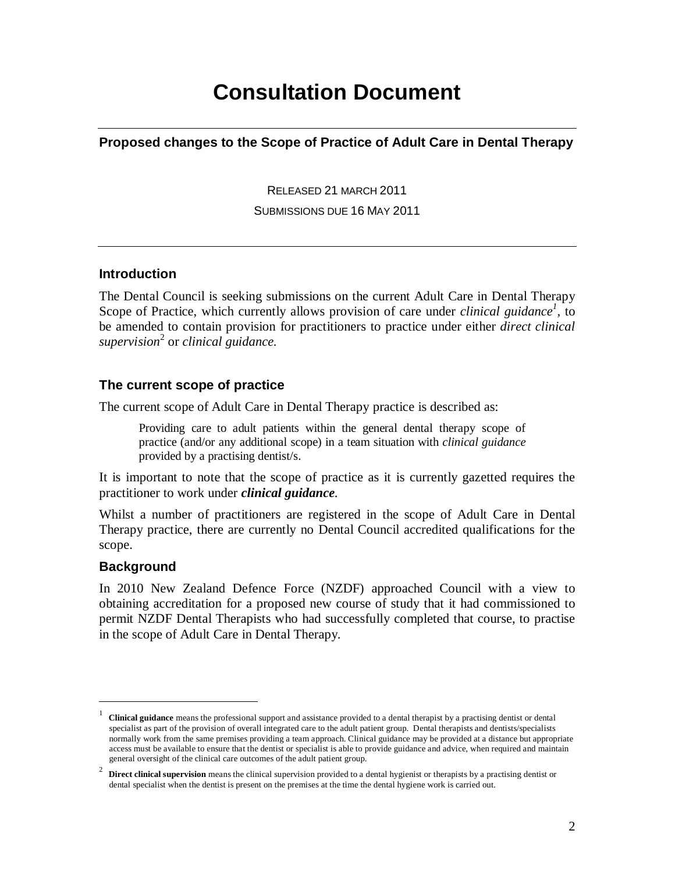# **Consultation Document**

**Proposed changes to the Scope of Practice of Adult Care in Dental Therapy**

RELEASED 21 MARCH 2011

SUBMISSIONS DUE 16 MAY 2011

# **Introduction**

The Dental Council is seeking submissions on the current Adult Care in Dental Therapy Scope of Practice, which currently allows provision of care under *clinical guidance<sup>1</sup>*, to be amended to contain provision for practitioners to practice under either *direct clinical supervision*<sup>2</sup> or *clinical guidance.* 

# **The current scope of practice**

The current scope of Adult Care in Dental Therapy practice is described as:

Providing care to adult patients within the general dental therapy scope of practice (and/or any additional scope) in a team situation with *clinical guidance* provided by a practising dentist/s.

It is important to note that the scope of practice as it is currently gazetted requires the practitioner to work under *clinical guidance*.

Whilst a number of practitioners are registered in the scope of Adult Care in Dental Therapy practice, there are currently no Dental Council accredited qualifications for the scope.

# **Background**

<u>.</u>

In 2010 New Zealand Defence Force (NZDF) approached Council with a view to obtaining accreditation for a proposed new course of study that it had commissioned to permit NZDF Dental Therapists who had successfully completed that course, to practise in the scope of Adult Care in Dental Therapy.

<sup>1</sup> **Clinical guidance** means the professional support and assistance provided to a dental therapist by a practising dentist or dental specialist as part of the provision of overall integrated care to the adult patient group. Dental therapists and dentists/specialists normally work from the same premises providing a team approach. Clinical guidance may be provided at a distance but appropriate access must be available to ensure that the dentist or specialist is able to provide guidance and advice, when required and maintain general oversight of the clinical care outcomes of the adult patient group.

<sup>2</sup> **Direct clinical supervision** means the clinical supervision provided to a dental hygienist or therapists by a practising dentist or dental specialist when the dentist is present on the premises at the time the dental hygiene work is carried out.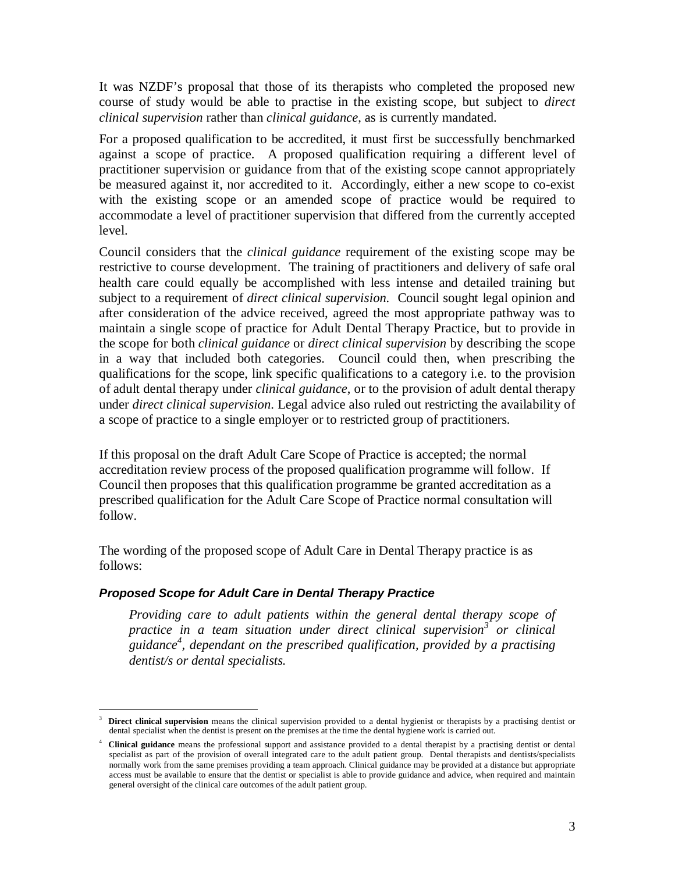It was NZDF's proposal that those of its therapists who completed the proposed new course of study would be able to practise in the existing scope, but subject to *direct clinical supervision* rather than *clinical guidance*, as is currently mandated.

For a proposed qualification to be accredited, it must first be successfully benchmarked against a scope of practice. A proposed qualification requiring a different level of practitioner supervision or guidance from that of the existing scope cannot appropriately be measured against it, nor accredited to it. Accordingly, either a new scope to co-exist with the existing scope or an amended scope of practice would be required to accommodate a level of practitioner supervision that differed from the currently accepted level.

Council considers that the *clinical guidance* requirement of the existing scope may be restrictive to course development. The training of practitioners and delivery of safe oral health care could equally be accomplished with less intense and detailed training but subject to a requirement of *direct clinical supervision.* Council sought legal opinion and after consideration of the advice received, agreed the most appropriate pathway was to maintain a single scope of practice for Adult Dental Therapy Practice, but to provide in the scope for both *clinical guidance* or *direct clinical supervision* by describing the scope in a way that included both categories. Council could then, when prescribing the qualifications for the scope, link specific qualifications to a category i.e. to the provision of adult dental therapy under *clinical guidance*, or to the provision of adult dental therapy under *direct clinical supervision*. Legal advice also ruled out restricting the availability of a scope of practice to a single employer or to restricted group of practitioners.

If this proposal on the draft Adult Care Scope of Practice is accepted; the normal accreditation review process of the proposed qualification programme will follow. If Council then proposes that this qualification programme be granted accreditation as a prescribed qualification for the Adult Care Scope of Practice normal consultation will follow.

The wording of the proposed scope of Adult Care in Dental Therapy practice is as follows:

#### **Proposed Scope for Adult Care in Dental Therapy Practice**

*Providing care to adult patients within the general dental therapy scope of practice in a team situation under direct clinical supervision<sup>3</sup> or clinical guidance<sup>4</sup> , dependant on the prescribed qualification, provided by a practising dentist/s or dental specialists.* 

<sup>-</sup>3 **Direct clinical supervision** means the clinical supervision provided to a dental hygienist or therapists by a practising dentist or dental specialist when the dentist is present on the premises at the time the dental hygiene work is carried out.

<sup>4</sup> **Clinical guidance** means the professional support and assistance provided to a dental therapist by a practising dentist or dental specialist as part of the provision of overall integrated care to the adult patient group. Dental therapists and dentists/specialists normally work from the same premises providing a team approach. Clinical guidance may be provided at a distance but appropriate access must be available to ensure that the dentist or specialist is able to provide guidance and advice, when required and maintain general oversight of the clinical care outcomes of the adult patient group.